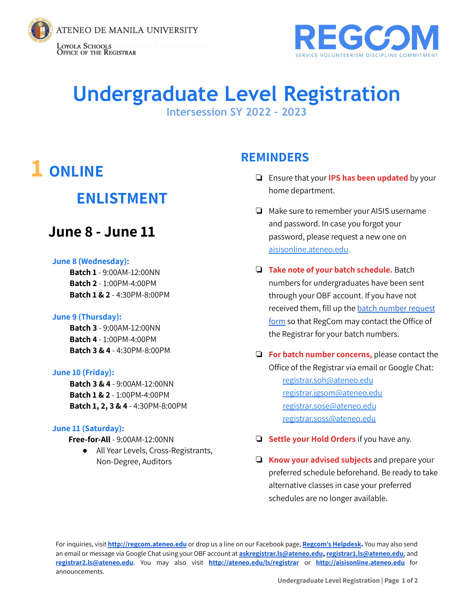



# **Undergraduate Level Registration**

**Intersession SY 2022 – 2023**

# **1 ONLINE**

### **ENLISTMENT**

### **June 8 - June 11**

#### **June 8 (Wednesday):**

**Batch 1** - 9:00AM-12:00NN **Batch 2** - 1:00PM-4:00PM **Batch 1 & 2** - 4:30PM-8:00PM

#### **June 9 (Thursday):**

**Batch 3** - 9:00AM-12:00NN **Batch 4** - 1:00PM-4:00PM **Batch 3 & 4** - 4:30PM-8:00PM

#### **June 10 (Friday):**

**Batch 3 & 4** - 9:00AM-12:00NN **Batch 1 & 2** - 1:00PM-4:00PM **Batch 1, 2, 3 & 4** - 4:30PM-8:00PM

#### **June 11 (Saturday):**

**Free-for-All** - 9:00AM-12:00NN

● All Year Levels, Cross-Registrants, Non-Degree, Auditors

### **REMINDERS**

- ❏ Ensure that your **IPS has been updated** by your home department.
- ❏ Make sure to remember your AISIS username and password. In case you forgot your password, please request a new one on [aisisonline.ateneo.edu.](http://aisisonline.ateneo.edu)
- ❏ **Take note of your batch schedule.** Batch numbers for undergraduates have been sent through your OBF account. If you have not received them, fill up the batch [number](https://bit.ly/RegCom_BatchNumReq) request [form](https://bit.ly/RegCom_BatchNumReq) so that RegCom may contact the Office of the Registrar for your batch numbers.
- ❏ **For batch number concerns,** please contact the Office of the Registrar via email or Google Chat: [registrar.soh@ateneo.edu](mailto:registrar.soh@ateneo.edu) [registrar.jgsom@ateneo.edu](mailto:registrar.jgsom@ateneo.edu) [registrar.sose@ateneo.edu](mailto:registrar.sose@ateneo.edu) [registrar.soss@ateneo.edu](mailto:registrar.soss@ateneo.edu)
- ❏ **Settle your Hold Orders** if you have any.
- ❏ **Know your advised subjects** and prepare your preferred schedule beforehand. Be ready to take alternative classes in case your preferred schedules are no longer available.

For inquiries, visit **<http://regcom.ateneo.edu>** or drop us a line on our Facebook page, **[Regcom's](https://www.facebook.com/RegComHelpdesk) Helpdesk.** You may also send an email or message via Google Chat using your OBF account at **[askregistrar.ls@ateneo.edu](mailto:askregistrar.ls@ateneo.edu), [registrar1.ls@ateneo.edu](mailto:registrar1.ls@ateneo.edu)**, and **[registrar2.ls@ateneo.edu](mailto:registrar2.ls@ateneo.edu)**. You may also visit **<http://ateneo.edu/ls/registrar>** or **<http://aisisonline.ateneo.edu>** for announcements.